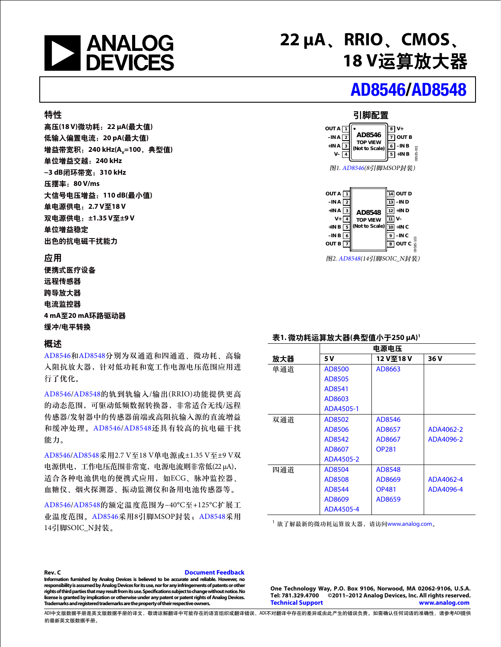

**22 µA**、**RRIO**、**CMOS**、 **18 V**运算放大器

# [AD8546/](http://www.analog.com/zh/ad8546)[AD8548](http://www.analog.com/zh/ad8548)

#### 特性

高压**(18 V)**微功耗:**22 μA(**最大值**)** 低输入偏置电流:**20 pA(**最大值**)** 增益带宽积: 240 kHz(A<sub>v</sub>=100, 典型值) 单位增益交越:**240 kHz −3 dB**闭环带宽:**310 kHz** 压摆率:**80 V/ms** 大信号电压增益:**110 dB(**最小值**)** 单电源供电:**2.7 V**至**18 V**  双电源供电:**±1.35 V**至**±9 V**  单位增益稳定 出色的抗电磁干扰能力

#### 应用

便携式医疗设备 远程传感器 跨导放大器 电流监控器 **4 mA**至**20 mA**环路驱动器 缓冲**/**电平转换

#### 概述

[AD8546](http://www.analog.com/zh/ad8546)和[AD8548](http://www.analog.com/zh/ad8548)分别为双通道和四通道、微功耗、高输 入阻抗放大器,针对低功耗和宽工作电源电压范围应用进 行了优化。

[AD8546](http://www.analog.com/zh/ad8546)[/AD8548](http://www.analog.com/zh/ad8548)的轨到轨输入/输出(RRIO)功能提供更高 的动态范围,可驱动低频数据转换器,非常适合无线/远程 传感器/发射器中的传感器前端或高阻抗输入源的直流增益 和缓冲处理。[AD8546](http://www.analog.com/zh/ad8546)[/AD8548](http://www.analog.com/zh/ad8548)还具有较高的抗电磁干扰 能力。

[AD8546](http://www.analog.com/zh/ad8546)[/AD8548](http://www.analog.com/zh/ad8548)采用2.7 V至18 V单电源或±1.35 V至±9 V双 电源供电,工作电压范围非常宽,电源电流则非常低(22 μA), 适合各种电池供电的便携式应用,如ECG、脉冲监控器、 血糖仪、烟火探测器、振动监测仪和备用电池传感器等。

[AD8546](http://www.analog.com/zh/ad8546)[/AD8548](http://www.analog.com/zh/ad8548)的额定温度范围为−40°C至+125°C扩展工 业温度范围。[AD8546](http://www.analog.com/zh/ad8546)采用8引脚MSOP封装;[AD8548](http://www.analog.com/zh/ad8548)采用 14引脚SOIC\_N封装。 1490.000 mm and the community of the community of the community of the community of the community of the community of the community of the community of the community of the community of the community of the

#### 引脚配置





图2. [AD8548\(](http://www.analog.com/zh/ad8548)14引脚SOIC\_N封装)

#### 表**1.** 微功耗运算放大器**(**典型值小于**250 μA)1**

|     | 电源电压      |              |           |  |  |  |
|-----|-----------|--------------|-----------|--|--|--|
| 放大器 | 5 V       | 12 V至18 V    | 36 V      |  |  |  |
| 单通道 | AD8500    | AD8663       |           |  |  |  |
|     | AD8505    |              |           |  |  |  |
|     | AD8541    |              |           |  |  |  |
|     | AD8603    |              |           |  |  |  |
|     | ADA4505-1 |              |           |  |  |  |
| 双通道 | AD8502    | AD8546       |           |  |  |  |
|     | AD8506    | AD8657       | ADA4062-2 |  |  |  |
|     | AD8542    | AD8667       | ADA4096-2 |  |  |  |
|     | AD8607    | <b>OP281</b> |           |  |  |  |
|     | ADA4505-2 |              |           |  |  |  |
| 四通道 | AD8504    | AD8548       |           |  |  |  |
|     | AD8508    | AD8669       | ADA4062-4 |  |  |  |
|     | AD8544    | <b>OP481</b> | ADA4096-4 |  |  |  |
|     | AD8609    | AD8659       |           |  |  |  |
|     | ADA4505-4 |              |           |  |  |  |

#### **Rev. C [Document Feedback](https://form.analog.com/Form_Pages/feedback/documentfeedback.aspx?doc=%20AD8546/AD8548.pdf&page=%201&product=AD8546/AD8548&rev=C)**

**Information furnished by Analog Devices is believed to be accurate and reliable. However, no responsibility is assumedby Analog Devices for its use, nor for any infringements of patents or other**  rights of third parties that may result from its use. Specifications subject to change without notice. No **license is granted by implication or otherwise under any patent or patent rights of Analog Devices. Trademarks and registered trademarks are the property of their respective owners.** 

**One Technology Way, P.O. Box 9106, Norwood, MA 02062-9106, U.S.A. Tel: 781.329.4700 ©2011–2012 Analog Devices, Inc. All rights reserved. [Technical Support](http://www.analog.com/en/content/technical_support_page/fca.html) www.analog.com** 

ADI中文版数据手册是英文版数据手册的译文,敬请谅解翻译中可能存在的语言组织或翻译错误,ADI不对翻译中存在的差异或由此产生的错误负责。如需确认任何词语的准确性,请参考ADI提供 的最新英文版数据手册。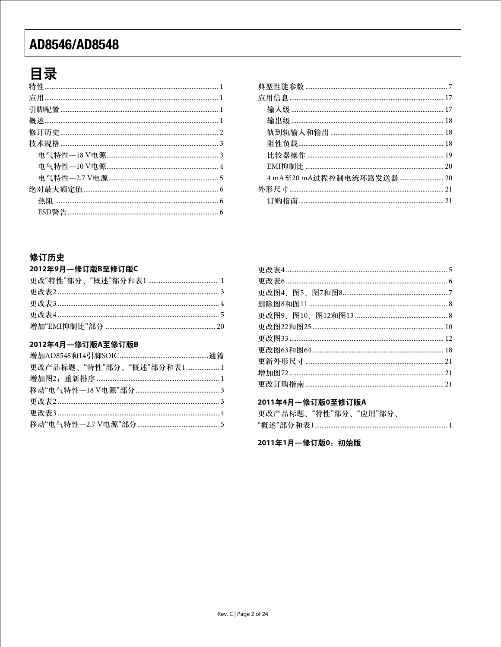# 目录

| 4 mA至20 mA过程控制电流环路发送器  20 |  |
|---------------------------|--|
|                           |  |
|                           |  |
|                           |  |

### 修订历史

#### 2012年9月––修订版B至修订版C

#### 2012年4月—修订版A至修订版B

| 更改产品标题、"特性"部分、"概述"部分和表1  1 |  |
|----------------------------|--|
|                            |  |
|                            |  |
|                            |  |
|                            |  |
|                            |  |

#### 2011年4月–修订版0至修订版A

| 更改产品标题、"特性"部分、"应用"部分、 |  |  |
|-----------------------|--|--|
|                       |  |  |

2011年1月一修订版0:初始版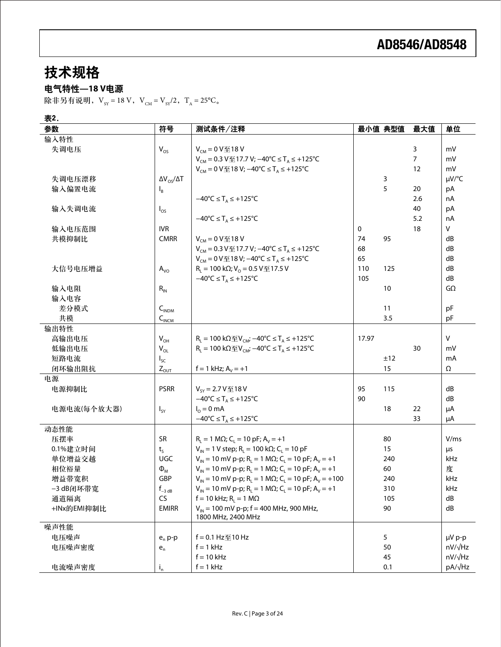# 技术规格

### 电气特性**—18 V**电源

除非另有说明,  $V_{SY} = 18 V$ ,  $V_{CM} = V_{SY}/2$ ,  $T_A = 25^{\circ}C_{\circ}$ 

表2.

| 参数          | 符号                              | 测试条件/注释                                                                                             |       | 最小值 典型值 | 最大值 | 单位        |
|-------------|---------------------------------|-----------------------------------------------------------------------------------------------------|-------|---------|-----|-----------|
| 输入特性        |                                 |                                                                                                     |       |         |     |           |
| 失调电压        | $V_{OS}$                        | $V_{CM} = 0 V \le 18 V$                                                                             |       |         | 3   | mV        |
|             |                                 | $V_{\text{CM}}$ = 0.3 V至17.7 V; -40°C ≤ T <sub>A</sub> ≤ +125°C                                     |       |         | 7   | mV        |
|             |                                 | $V_{CM}$ = 0 V $\text{\textsterling}$ 18 V; -40 °C ≤ T <sub>A</sub> ≤ +125 °C                       |       |         | 12  | mV        |
| 失调电压漂移      | $\Delta V_{OS}/\Delta T$        |                                                                                                     |       | 3       |     | µV/°C     |
| 输入偏置电流      | $I_{\beta}$                     |                                                                                                     |       | 5       | 20  | pA        |
|             |                                 | $-40^{\circ}C \leq T_A \leq +125^{\circ}C$                                                          |       |         | 2.6 | nA        |
| 输入失调电流      | $I_{OS}$                        |                                                                                                     |       |         | 40  | pA        |
|             |                                 | $-40^{\circ}C \leq T_A \leq +125^{\circ}C$                                                          |       |         | 5.2 | nA        |
| 输入电压范围      | <b>IVR</b>                      |                                                                                                     | 0     |         | 18  | V         |
| 共模抑制比       | <b>CMRR</b>                     | $V_{CM} = 0 V \le 18 V$                                                                             | 74    | 95      |     | dB        |
|             |                                 | $V_{CM}$ = 0.3 V至17.7 V; -40°C ≤ T <sub>A</sub> ≤ +125°C                                            | 68    |         |     | dB        |
|             |                                 | V <sub>CM</sub> = 0 V至18 V; -40 °C ≤ T <sub>A</sub> ≤ +125 °C                                       | 65    |         |     | dB        |
| 大信号电压增益     | $A_{\rm VO}$                    | $R_L$ = 100 kΩ; V <sub>o</sub> = 0.5 V $\text{F}$ 17.5 V                                            | 110   | 125     |     | dB        |
|             |                                 | $-40^{\circ}C \leq T_A \leq +125^{\circ}C$                                                          | 105   |         |     | dB        |
| 输入电阻        | $R_{IN}$                        |                                                                                                     |       | 10      |     | $G\Omega$ |
| 输入电容        |                                 |                                                                                                     |       |         |     |           |
| 差分模式        | $C_{\tiny{\text{INDM}}}$        |                                                                                                     |       | 11      |     | pF        |
| 共模          | $C_{INCM}$                      |                                                                                                     |       | 3.5     |     | pF        |
| 输出特性        |                                 |                                                                                                     |       |         |     |           |
| 高输出电压       | $V_{OH}$                        | $R_1 = 100 k\Omega \pm V_{CM}$ ; $-40°C \leq T_A \leq +125°C$                                       | 17.97 |         |     | V         |
| 低输出电压       | $V_{OL}$                        | $R_L = 100 k\Omega \mathcal{F}V_{CM}$ ; $-40^{\circ}C \leq T_A \leq +125^{\circ}C$                  |       |         | 30  | m۷        |
| 短路电流        | $I_{\text{SC}}$                 |                                                                                                     |       | ±12     |     | mA        |
| 闭环输出阻抗      | $Z_{\text{OUT}}$                | $f = 1$ kHz; $A_v = +1$                                                                             |       | 15      |     | Ω         |
| 电源          |                                 |                                                                                                     |       |         |     |           |
| 电源抑制比       | <b>PSRR</b>                     | $V_{SY} = 2.7 V \times 18 V$                                                                        | 95    | 115     |     | dB        |
|             |                                 | $-40^{\circ}C \leq T_A \leq +125^{\circ}C$                                                          | 90    |         |     | dB        |
| 电源电流(每个放大器) | $I_{SY}$                        | $I_0 = 0$ mA                                                                                        |       | 18      | 22  | μA        |
|             |                                 | $-40^{\circ}C \leq T_A \leq +125^{\circ}C$                                                          |       |         | 33  | μA        |
| 动态性能        |                                 |                                                                                                     |       |         |     |           |
| 压摆率         | <b>SR</b>                       | $R_1 = 1 M\Omega$ ; C <sub>1</sub> = 10 pF; A <sub>v</sub> = +1                                     |       | 80      |     | V/ms      |
| 0.1%建立时间    | $t_{\rm s}$                     | $V_{IN}$ = 1 V step; R <sub>1</sub> = 100 k $\Omega$ ; C <sub>1</sub> = 10 pF                       |       | 15      |     | μs        |
| 单位增益交越      | <b>UGC</b>                      | $V_{1N}$ = 10 mV p-p; R <sub>L</sub> = 1 M $\Omega$ ; C <sub>L</sub> = 10 pF; A <sub>V</sub> = +1   |       | 240     |     | kHz       |
| 相位裕量        | $\Phi_{\rm M}$                  | $V_{1N}$ = 10 mV p-p; R <sub>L</sub> = 1 M $\Omega$ ; C <sub>L</sub> = 10 pF; A <sub>V</sub> = +1   |       | 60      |     | 度         |
| 增益带宽积       | <b>GBP</b>                      | $V_{1N} = 10$ mV p-p; R <sub>L</sub> = 1 M $\Omega$ ; C <sub>L</sub> = 10 pF; A <sub>V</sub> = +100 |       | 240     |     | kHz       |
| -3 dB闭环带宽   | $\boldsymbol{f}_{-3\text{ dB}}$ | $V_{IN}$ = 10 mV p-p; R <sub>L</sub> = 1 MΩ; C <sub>L</sub> = 10 pF; A <sub>V</sub> = +1            |       | 310     |     | kHz       |
| 通道隔离        | CS                              | $f = 10$ kHz; R <sub>L</sub> = 1 MΩ                                                                 |       | 105     |     | dB        |
| +INx的EMI抑制比 | <b>EMIRR</b>                    | $V_{in}$ = 100 mV p-p; f = 400 MHz, 900 MHz,<br>1800 MHz, 2400 MHz                                  |       | 90      |     | dB        |
| 噪声性能        |                                 |                                                                                                     |       |         |     |           |
| 电压噪声        | $e_n$ p-p                       | $f = 0.1$ Hz $\leq 10$ Hz                                                                           |       | 5       |     | µV p-p    |
| 电压噪声密度      | $\mathsf{e}_{\mathsf{n}}$       | $f = 1$ kHz                                                                                         |       | 50      |     | nV/√Hz    |
|             |                                 | $f = 10$ kHz                                                                                        |       | 45      |     | nV/√Hz    |
| 电流噪声密度      | $i_{n}$                         | $f = 1$ kHz                                                                                         |       | 0.1     |     | pA/√Hz    |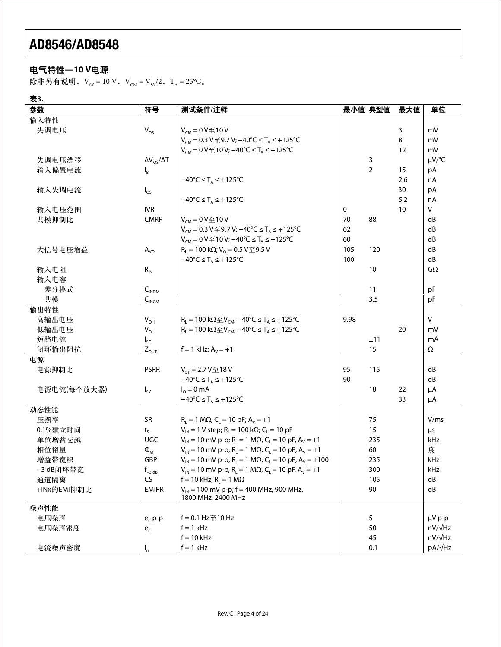### 电气特性**—10 V**电源

除非另有说明,  $V_{sy} = 10 V$ ,  $V_{CM} = V_{sy}/2$ ,  $T_A = 25^{\circ}C_{\circ}$ 

表**3.**

| 参数          | 符号                        | 测试条件/注释                                                                                                                                                                                                                                                                                                                                                  |      | 最小值 典型值        | 最大值 | 单位             |
|-------------|---------------------------|----------------------------------------------------------------------------------------------------------------------------------------------------------------------------------------------------------------------------------------------------------------------------------------------------------------------------------------------------------|------|----------------|-----|----------------|
| 输入特性        |                           |                                                                                                                                                                                                                                                                                                                                                          |      |                |     |                |
| 失调电压        | $V_{OS}$                  | $V_{CM} = 0 V \le 10 V$                                                                                                                                                                                                                                                                                                                                  |      |                | 3   | mV             |
|             |                           | $V_{CM}$ = 0.3 V至9.7 V; -40°C ≤ T <sub>A</sub> ≤ +125°C                                                                                                                                                                                                                                                                                                  |      |                | 8   | mV             |
|             |                           | $V_{CM}$ = 0 V $\text{\textsterling}$ 10 V; -40 °C ≤ T <sub>A</sub> ≤ +125 °C                                                                                                                                                                                                                                                                            |      |                | 12  | mV             |
| 失调电压漂移      | $\Delta V_{OS}/\Delta T$  |                                                                                                                                                                                                                                                                                                                                                          |      | 3              |     | µV/°C          |
| 输入偏置电流      | $I_{B}$                   |                                                                                                                                                                                                                                                                                                                                                          |      | $\overline{2}$ | 15  | pA             |
|             |                           | $-40^{\circ}C \leq T_A \leq +125^{\circ}C$                                                                                                                                                                                                                                                                                                               |      |                | 2.6 | nA             |
| 输入失调电流      | $I_{OS}$                  |                                                                                                                                                                                                                                                                                                                                                          |      |                | 30  | pA             |
|             |                           | $-40^{\circ}C \leq T_A \leq +125^{\circ}C$                                                                                                                                                                                                                                                                                                               |      |                | 5.2 | nA             |
| 输入电压范围      | <b>IVR</b>                |                                                                                                                                                                                                                                                                                                                                                          | 0    |                | 10  | V              |
| 共模抑制比       | <b>CMRR</b>               | $V_{CM} = 0 V \le 10 V$                                                                                                                                                                                                                                                                                                                                  | 70   | 88             |     | dB             |
|             |                           | V <sub>CM</sub> = 0.3 V至9.7 V; -40 °C ≤ T <sub>A</sub> ≤ +125 °C                                                                                                                                                                                                                                                                                         | 62   |                |     | dB             |
|             |                           | $V_{CM}$ = 0 V $\text{\textsterling}$ 10 V; -40 °C ≤ T <sub>A</sub> ≤ +125 °C                                                                                                                                                                                                                                                                            | 60   |                |     | dB             |
| 大信号电压增益     | $A_{\rm VO}$              | $RL$ = 100 kΩ; V <sub>o</sub> = 0.5 V至9.5 V                                                                                                                                                                                                                                                                                                              | 105  | 120            |     | dB             |
|             |                           | $-40^{\circ}C \leq T_A \leq +125^{\circ}C$                                                                                                                                                                                                                                                                                                               | 100  |                |     | dB             |
| 输入电阻        | $R_{IN}$                  |                                                                                                                                                                                                                                                                                                                                                          |      | 10             |     | $G\Omega$      |
| 输入电容        |                           |                                                                                                                                                                                                                                                                                                                                                          |      |                |     |                |
| 差分模式        | $C_{INDM}$                |                                                                                                                                                                                                                                                                                                                                                          |      | 11             |     | pF             |
| 共模          | $C_{INCM}$                |                                                                                                                                                                                                                                                                                                                                                          |      | 3.5            |     | pF             |
| 输出特性        |                           |                                                                                                                                                                                                                                                                                                                                                          |      |                |     |                |
| 高输出电压       | $V_{OH}$                  | $R_1 = 100 k\Omega \mathcal{V}_{CM}$ ; $-40^{\circ}C \leq T_A \leq +125^{\circ}C$                                                                                                                                                                                                                                                                        | 9.98 |                |     | $\vee$         |
| 低输出电压       | $V_{OL}$                  | $R_1 = 100 kΩ$ $\text{ }$ $\text{ }$ $\text{ }$ $\text{ }$ $\text{ }$ $\text{ }$ $\text{ }$ $\text{ }$ $\text{ }$ $\text{ }$ $\text{ }$ $\text{ }$ $\text{ }$ $\text{ }$ $\text{ }$ $\text{ }$ $\text{ }$ $\text{ }$ $\text{ }$ $\text{ }$ $\text{ }$ $\text{ }$ $\text{ }$ $\text{ }$ $\text{ }$ $\text{ }$ $\text{ }$ $\text{ }$ $\text{ }$ $\text{ }$ |      |                | 20  | mV             |
| 短路电流        | $I_{SC}$                  |                                                                                                                                                                                                                                                                                                                                                          |      | ±11            |     | mA             |
| 闭环输出阻抗      | $Z_{OUT}$                 | $f = 1$ kHz; $A_v = +1$                                                                                                                                                                                                                                                                                                                                  |      | 15             |     | Ω              |
| 电源          |                           |                                                                                                                                                                                                                                                                                                                                                          |      |                |     |                |
| 电源抑制比       | <b>PSRR</b>               | $V_{SY} = 2.7 V \times 18 V$                                                                                                                                                                                                                                                                                                                             | 95   | 115            |     | dB             |
|             |                           | $-40^{\circ}C \leq T_A \leq +125^{\circ}C$                                                                                                                                                                                                                                                                                                               | 90   |                |     | dB             |
| 电源电流(每个放大器) | $I_{SY}$                  | $I_0 = 0$ mA                                                                                                                                                                                                                                                                                                                                             |      | 18             | 22  | μA             |
|             |                           | $-40^{\circ}C \leq T_A \leq +125^{\circ}C$                                                                                                                                                                                                                                                                                                               |      |                | 33  | μA             |
| 动态性能        |                           |                                                                                                                                                                                                                                                                                                                                                          |      |                |     |                |
| 压摆率         | <b>SR</b>                 | $R_1 = 1 M\Omega$ ; C <sub>1</sub> = 10 pF; A <sub>v</sub> = +1                                                                                                                                                                                                                                                                                          |      | 75             |     | V/ms           |
| 0.1%建立时间    | $t_{S}$                   | $V_{IN}$ = 1 V step; R <sub>L</sub> = 100 kΩ; C <sub>L</sub> = 10 pF                                                                                                                                                                                                                                                                                     |      | 15             |     | μs             |
| 单位增益交越      | <b>UGC</b>                | $V_{1N} = 10$ mV p-p; R <sub>1</sub> = 1 M $\Omega$ , C <sub>1</sub> = 10 pF, A <sub>v</sub> = +1                                                                                                                                                                                                                                                        |      | 235            |     | kHz            |
| 相位裕量        | $\Phi_{M}$                | $V_{1N}$ = 10 mV p-p; R <sub>L</sub> = 1 M $\Omega$ ; C <sub>L</sub> = 10 pF; A <sub>V</sub> = +1                                                                                                                                                                                                                                                        |      | 60             |     | 度              |
| 增益带宽积       | <b>GBP</b>                | $V_{1N}$ = 10 mV p-p; R <sub>L</sub> = 1 M $\Omega$ ; C <sub>L</sub> = 10 pF; A <sub>V</sub> = +100                                                                                                                                                                                                                                                      |      | 235            |     | kHz            |
| -3 dB闭环带宽   | $f_{-3 dB}$               | $V_{1N} = 10$ mV p-p, R <sub>L</sub> = 1 M $\Omega$ , C <sub>L</sub> = 10 pF, A <sub>V</sub> = +1                                                                                                                                                                                                                                                        |      | 300            |     | kHz            |
| 通道隔离        | <b>CS</b>                 | $f = 10$ kHz; R <sub>1</sub> = 1 MΩ                                                                                                                                                                                                                                                                                                                      |      | 105            |     | dB             |
| +INx的EMI抑制比 | <b>EMIRR</b>              | $V_{\text{IN}}$ = 100 mV p-p; f = 400 MHz, 900 MHz,                                                                                                                                                                                                                                                                                                      |      | 90             |     | dB             |
|             |                           | 1800 MHz, 2400 MHz                                                                                                                                                                                                                                                                                                                                       |      |                |     |                |
| 噪声性能        |                           |                                                                                                                                                                                                                                                                                                                                                          |      |                |     |                |
| 电压噪声        | $e_n$ p-p                 | $f = 0.1$ Hz $\leq 10$ Hz                                                                                                                                                                                                                                                                                                                                |      | 5              |     | µV p-p         |
| 电压噪声密度      | $\mathsf{e}_{\mathsf{n}}$ | $f = 1$ kHz                                                                                                                                                                                                                                                                                                                                              |      | 50             |     | $nV/\sqrt{Hz}$ |
|             |                           | $f = 10$ kHz                                                                                                                                                                                                                                                                                                                                             |      | 45             |     | nV/√Hz         |
| 电流噪声密度      | $i_{n}$                   | $f = 1$ kHz                                                                                                                                                                                                                                                                                                                                              |      | 0.1            |     | pA/√Hz         |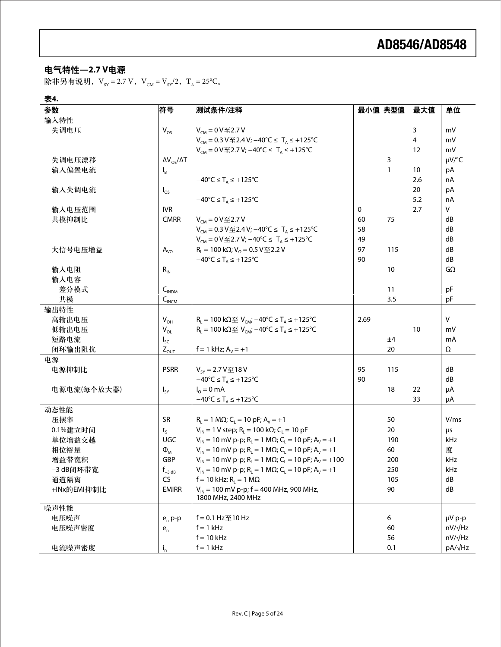### 电气特性**—2.7 V**电源

除非另有说明,  $V_{SY} = 2.7 V$ ,  $V_{CM} = V_{SY}/2$ ,  $T_A = 25°C$ 。

### 表**4.**

| 参数          | 符号                              | 测试条件/注释                                                                                                    | 最小值 典型值 |     | 最大值 | 单位           |
|-------------|---------------------------------|------------------------------------------------------------------------------------------------------------|---------|-----|-----|--------------|
| 输入特性        |                                 |                                                                                                            |         |     |     |              |
| 失调电压        | $V_{OS}$                        | $V_{CM} = 0 V \leq 2.7 V$                                                                                  |         |     | 3   | mV           |
|             |                                 | $V_{CM}$ = 0.3 V $\text{\textsterling}$ 2.4 V; -40 °C ≤ T <sub>A</sub> ≤ +125 °C                           |         |     | 4   | mV           |
|             |                                 | $V_{CM}$ = 0 V $\text{\textsterling}$ 2.7 V; -40 °C ≤ T <sub>A</sub> ≤ +125 °C                             |         |     | 12  | mV           |
| 失调电压漂移      | $\Delta V_{OS}/\Delta T$        |                                                                                                            |         | 3   |     | µV/°C        |
| 输入偏置电流      | $I_B$                           |                                                                                                            |         | 1   | 10  | pA           |
|             |                                 | $-40^{\circ}C \leq T_A \leq +125^{\circ}C$                                                                 |         |     | 2.6 | nA           |
| 输入失调电流      | $I_{OS}$                        |                                                                                                            |         |     | 20  | pA           |
|             |                                 | $-40^{\circ}C \leq T_A \leq +125^{\circ}C$                                                                 |         |     | 5.2 | nA           |
| 输入电压范围      | <b>IVR</b>                      |                                                                                                            | 0       |     | 2.7 | V            |
| 共模抑制比       | <b>CMRR</b>                     | $V_{CM} = 0 V 2.7 V$                                                                                       | 60      | 75  |     | dB           |
|             |                                 | $V_{CM}$ = 0.3 V至2.4 V; -40°C ≤ T <sub>A</sub> ≤ +125°C                                                    | 58      |     |     | dB           |
|             |                                 | $V_{CM}$ = 0 V $\text{\textsterling}$ 2.7 V; -40 °C ≤ T <sub>A</sub> ≤ +125 °C                             | 49      |     |     | dB           |
| 大信号电压增益     | $A_{\rm VO}$                    | $R_1 = 100 k\Omega$ ; $V_0 = 0.5 V \le 2.2 V$                                                              | 97      | 115 |     | dB           |
|             |                                 | $-40^{\circ}C \leq T_A \leq +125^{\circ}C$                                                                 | 90      |     |     | dB           |
| 输入电阻        | $R_{IN}$                        |                                                                                                            |         | 10  |     | $G\Omega$    |
| 输入电容        |                                 |                                                                                                            |         |     |     |              |
| 差分模式        | $C_{INDM}$                      |                                                                                                            |         | 11  |     | pF           |
| 共模          | $C_{INCM}$                      |                                                                                                            |         | 3.5 |     | pF           |
| 输出特性        |                                 |                                                                                                            |         |     |     |              |
| 高输出电压       | $V_{OH}$                        | $R_L = 100 k\Omega \mathcal{F}$ . $V_{CM}$ ; $-40°C \leq T_A \leq +125°C$                                  | 2.69    |     |     | $\mathsf{V}$ |
| 低输出电压       | $\mathsf{V}_{\mathsf{OL}}$      | $R_1$ = 100 kΩ $\text{ }$ Ω $\text{ }$ V <sub>CM</sub> ; -40°C ≤ T <sub>A</sub> ≤ +125°C                   |         |     | 10  | m۷           |
| 短路电流        | $I_{SC}$                        |                                                                                                            |         | ±4  |     | mA           |
| 闭环输出阻抗      | $Z_{\text{ouT}}$                | $f = 1$ kHz; $A_v = +1$                                                                                    |         | 20  |     | Ω            |
| 电源          |                                 |                                                                                                            |         |     |     |              |
| 电源抑制比       | <b>PSRR</b>                     | $V_{SY} = 2.7 V  18 V$                                                                                     | 95      | 115 |     | dB           |
|             |                                 | $-40^{\circ}C \leq T_A \leq +125^{\circ}C$                                                                 | 90      |     |     | dB           |
| 电源电流(每个放大器) | $I_{SY}$                        | $I_0 = 0$ mA                                                                                               |         | 18  | 22  | μA           |
|             |                                 | $-40^{\circ}C \leq T_A \leq +125^{\circ}C$                                                                 |         |     | 33  | μA           |
| 动态性能        |                                 |                                                                                                            |         |     |     |              |
| 压摆率         | <b>SR</b>                       | $R_1 = 1 M\Omega$ ; C <sub>1</sub> = 10 pF; A <sub>v</sub> = +1                                            |         | 50  |     | V/ms         |
| 0.1%建立时间    | $t_{S}$                         | $V_{IN}$ = 1 V step; R <sub>L</sub> = 100 kΩ; C <sub>L</sub> = 10 pF                                       |         | 20  |     | μs           |
| 单位增益交越      | <b>UGC</b>                      | $V_{\text{IN}}$ = 10 mV p-p; R <sub>i</sub> = 1 MQ; C <sub>i</sub> = 10 pF; A <sub>v</sub> = +1            |         | 190 |     | kHz          |
| 相位裕量        | $\Phi_{M}$                      | $V_{1N}$ = 10 mV p-p; R <sub>1</sub> = 1 M $\Omega$ ; C <sub>1</sub> = 10 pF; A <sub>V</sub> = +1          |         | 60  |     | 度            |
| 增益带宽积       | GBP                             | $V_{\text{IN}}$ = 10 mV p-p; R <sub>i</sub> = 1 M $\Omega$ ; C <sub>i</sub> = 10 pF; A <sub>v</sub> = +100 |         | 200 |     | kHz          |
| -3 dB闭环带宽   | $\boldsymbol{f}_{-3\text{ dB}}$ | $V_{IN}$ = 10 mV p-p; R <sub>L</sub> = 1 M $\Omega$ ; C <sub>L</sub> = 10 pF; A <sub>V</sub> = +1          |         | 250 |     | kHz          |
| 通道隔离        | CS                              | $f = 10$ kHz; R <sub>i</sub> = 1 MΩ                                                                        |         | 105 |     | dB           |
| +INx的EMI抑制比 | <b>EMIRR</b>                    | $V_{IN}$ = 100 mV p-p; f = 400 MHz, 900 MHz,<br>1800 MHz, 2400 MHz                                         |         | 90  |     | dB           |
| 噪声性能        |                                 |                                                                                                            |         |     |     |              |
| 电压噪声        | $e_n$ p-p                       | f = 0.1 Hz至10 Hz                                                                                           |         | 6   |     | µV p-p       |
| 电压噪声密度      | $\mathsf{e}_{\mathsf{n}}$       | $f = 1$ kHz                                                                                                |         | 60  |     | nV/√Hz       |
|             |                                 | $f = 10$ kHz                                                                                               |         | 56  |     | nV/√Hz       |
| 电流噪声密度      | $i_{n}$                         | $f = 1$ kHz                                                                                                |         | 0.1 |     | pA/√Hz       |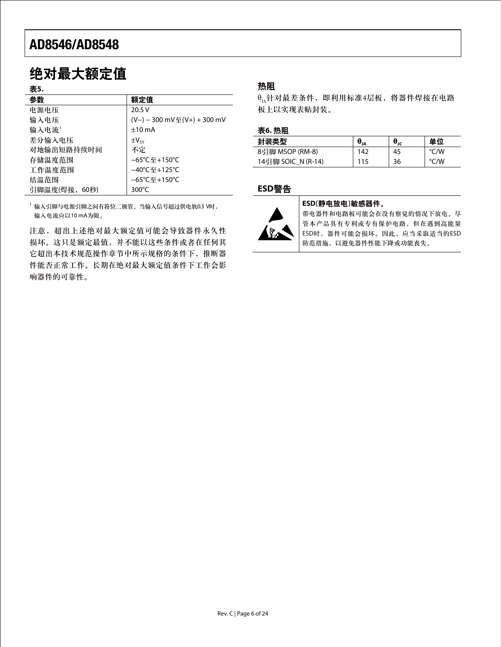# 绝对最大额定值

#### 表**5.**

| 参数                | 额定值                               |
|-------------------|-----------------------------------|
| 电源电压              | 20.5V                             |
| 输入电压              | (V-) - 300 mV至(V+) + 300 mV       |
| 输入电流 <sup>1</sup> | $±10$ mA                          |
| 差分输入电压            | $\pm V_{SV}$                      |
| 对地输出短路持续时间        | 不定                                |
| 存储温度范围            | $-65^{\circ}$ C至+150 $^{\circ}$ C |
| 工作温度范围            | –40℃至+125℃                        |
| 结温范围              | $-65^{\circ}$ C至+150 $^{\circ}$ C |
| 引脚温度(焊接,<br>60秒)  | 300 $\degree$ C                   |

<sup>1</sup> 输入引脚与电源引脚之间有箝位二极管。当输入信号超过供电轨0.3 V时, 输入电流应以10 mA为限。

注意,超出上述绝对最大额定值可能会导致器件永久性 损坏。这只是额定最值,并不能以这些条件或者在任何其 它超出本技术规范操作章节中所示规格的条件下,推断器 件能否正常工作。长期在绝对最大额定值条件下工作会影 响器件的可靠性。

### 热阻

 $\theta_{\mu}$ 针对最差条件,即利用标准4层板,将器件焊接在电路 板上以实现表贴封装。

#### 表**6.** 热阻

| 封装类型               | $\theta_{JA}$ | $\bm{\theta}_{\texttt{JC}}$ | 单位   |
|--------------------|---------------|-----------------------------|------|
| 8引脚 MSOP (RM-8)    | 142           | 45                          | °C/W |
| 14引脚 SOIC N (R-14) | 115           | 36                          | /W   |

#### **ESD**警告



#### **ESD**(静电放电)敏感器件。

带电器件和电路板可能会在没有察觉的情况下放电。尽 管本产品具有专利或专有保护电路,但在遇到高能量 ESD时,器件可能会损坏。因此,应当采取适当的ESD 防范措施,以避免器件性能下降或功能丧失。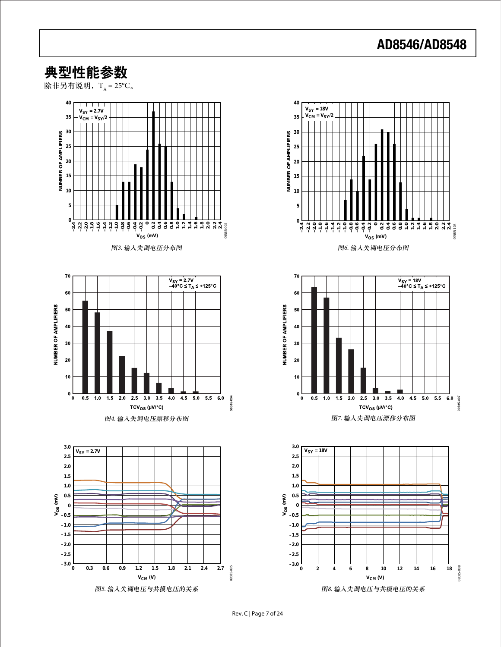### 典型性能参数

除非另有说明,  $T_A = 25^{\circ}C_{\circ}$ 





图8. 输入失调电压与共模电压的关系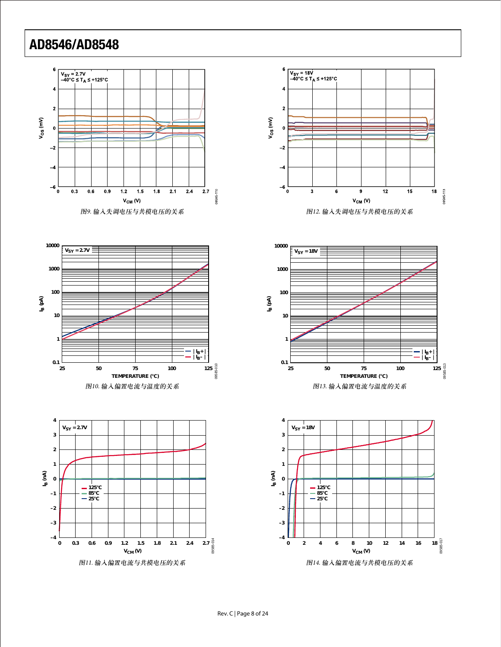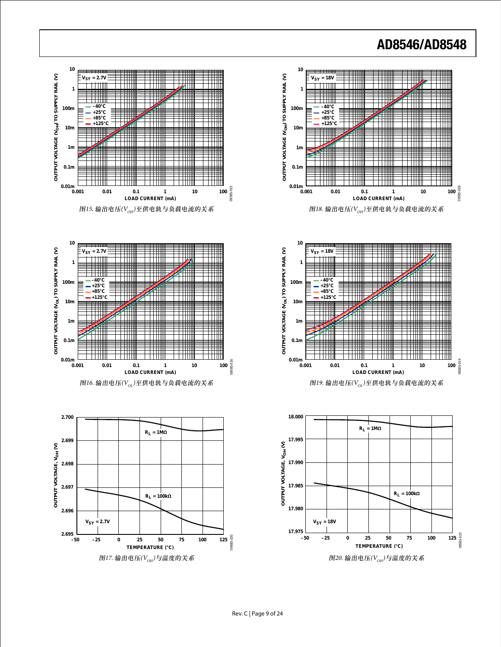









图16. 输出电压 $(V_{\text{OL}})$ 至供电轨与负载电流的关系

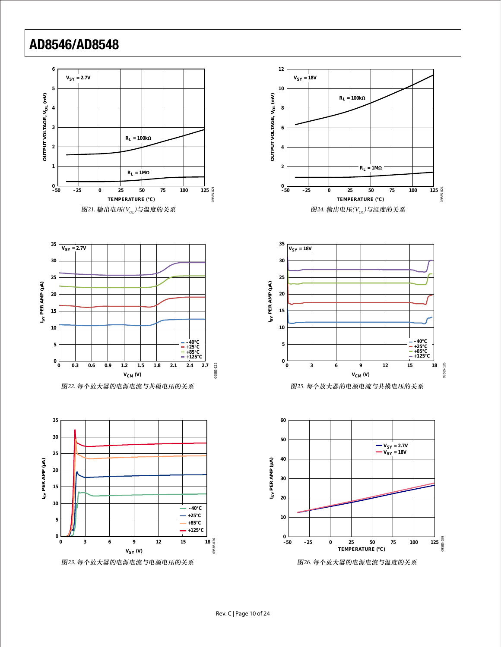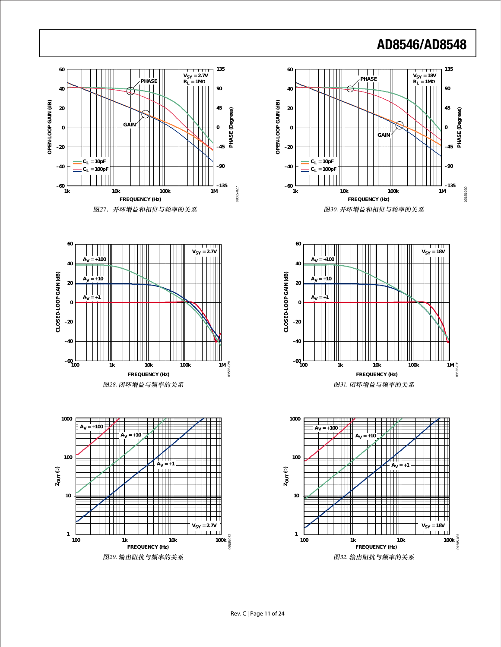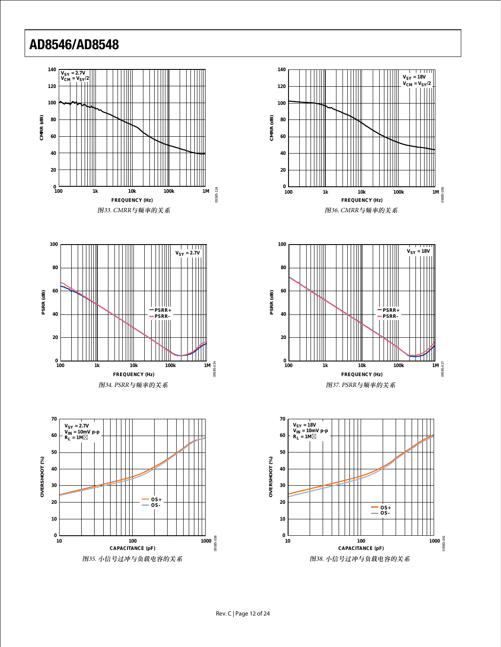









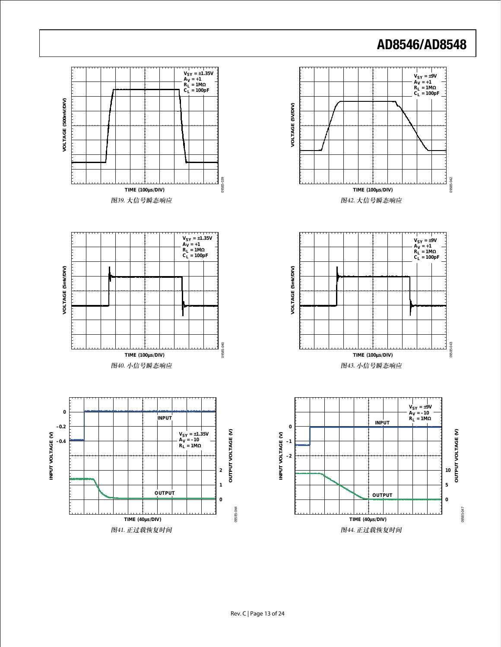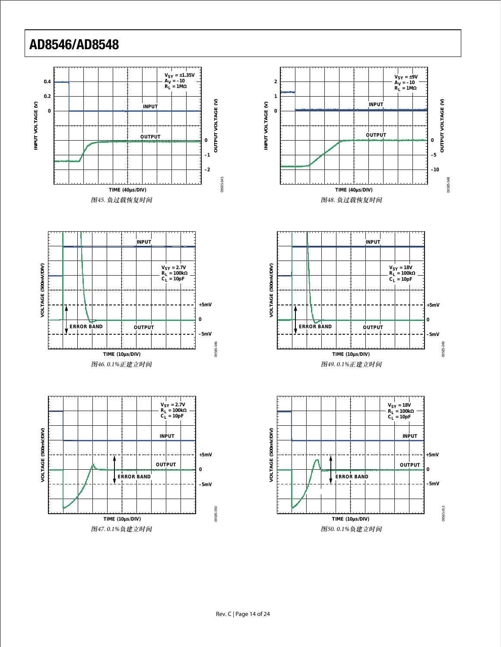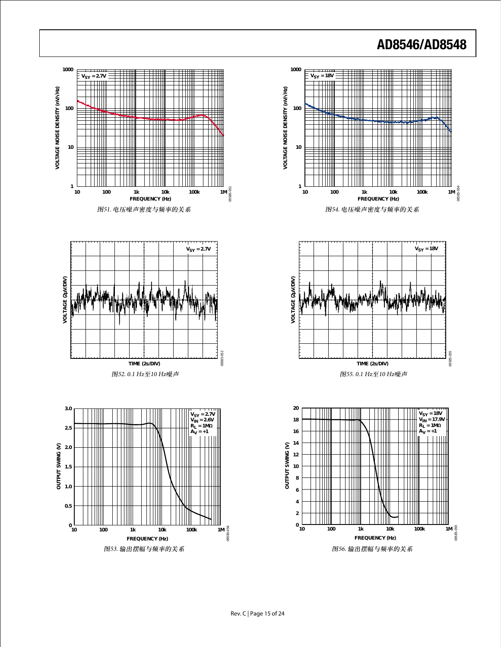

图53. 输出摆幅与频率的关系

图56. 输出摆幅与频率的关系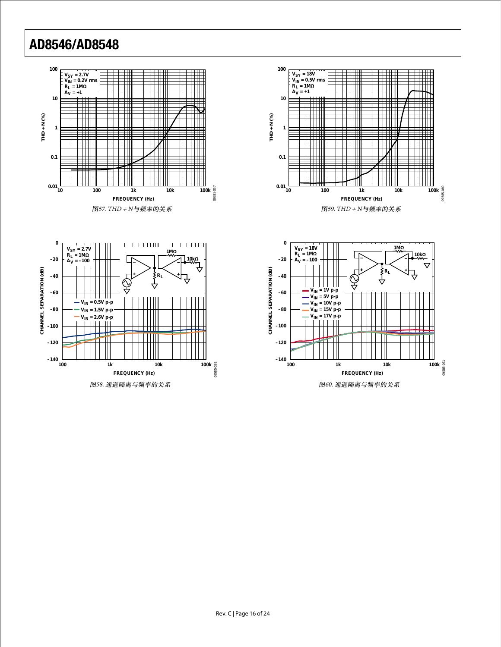





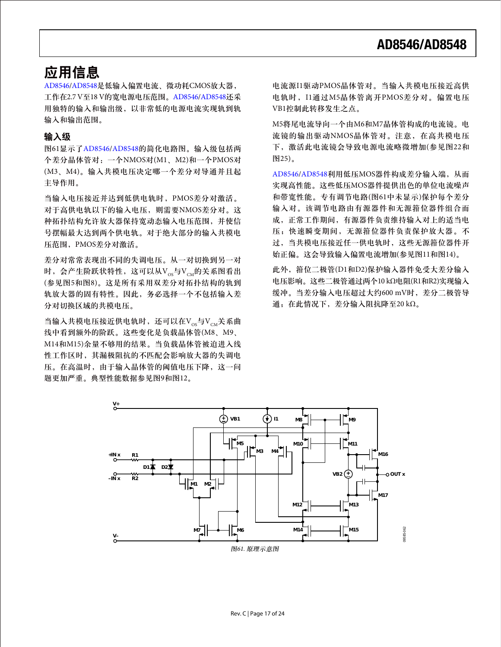### 应用信息

[AD8546](http://www.analog.com/zh/ad8546)[/AD8548](http://www.analog.com/zh/ad8548)是低输入偏置电流、微功耗CMOS放大器, 工作在2.7 V至18 V的宽电源电压范围。[AD8546](http://www.analog.com/zh/ad8546)[/AD8548](http://www.analog.com/zh/ad8548)还采 用独特的输入和输出级,以非常低的电源电流实现轨到轨 输入和输出范围。

#### 输入级

图61显示了[AD8546](http://www.analog.com/zh/ad8546)[/AD8548](http://www.analog.com/zh/ad8548)的简化电路图。输入级包括两 个差分晶体管对:一个NMOS对(M1、M2)和一个PMOS对 (M3、M4)。输入共模电压决定哪一个差分对导通并且起 主导作用。

当输入电压接近并达到低供电轨时,PMOS差分对激活。 对于高供电轨以下的输入电压,则需要NMOS差分对。这 种拓扑结构允许放大器保持宽动态输入电压范围,并使信 号摆幅最大达到两个供电轨。对于绝大部分的输入共模电 压范围,PMOS差分对激活。

差分对常常表现出不同的失调电压。从一对切换到另一对 时,会产生阶跃状特性,这可以从Vos与Vou的关系图看出 (参见图5和图8)。这是所有采用双差分对拓扑结构的轨到 轨放大器的固有特性。因此,务必选择一个不包括输入差 分对切换区域的共模电压。

当输入共模电压接近供电轨时,还可以在 $V_{\text{cos}}$ 与 $V_{\text{cm}}$ 关系曲 线中看到额外的阶跃。这些变化是负载晶体管(M8、M9、 M14和M15)余量不够用的结果。当负载晶体管被迫进入线 性工作区时,其漏极阻抗的不匹配会影响放大器的失调电 压。在高温时,由于输入晶体管的阈值电压下降,这一问 题更加严重。典型性能数据参见图9和图12。

电流源I1驱动PMOS晶体管对。当输入共模电压接近高供 电轨时,I1通过M5晶体管离开PMOS差分对。偏置电压 VB1控制此转移发生之点。

M5将尾电流导向一个由M6和M7晶体管构成的电流镜。电 流镜的输出驱动NMOS晶体管对。注意,在高共模电压 下,激活此电流镜会导致电源电流略微增加(参见图22和 图25)。

[AD8546/](http://www.analog.com/zh/ad8546)[AD8548](http://www.analog.com/zh/ad8548)利用低压MOS器件构成差分输入端,从而 实现高性能。这些低压MOS器件提供出色的单位电流噪声 和带宽性能。专有调节电路(图61中未显示)保护每个差分 输入对。该调节电路由有源器件和无源箝位器件组合而 成,正常工作期间,有源器件负责维持输入对上的适当电 压;快速瞬变期间,无源箝位器件负责保护放大器。不 过,当共模电压接近任一供电轨时,这些无源箝位器件开 始正偏。这会导致输入偏置电流增加(参见图11和图14)。

此外, 箱位二极管(D1和D2)保护输入器件免受大差分输入 电压影响。这些二极管通过两个10 kΩ电阻(R1和R2)实现输入 缓冲。当差分输入电压超过大约600 mV时,差分二极管导 通;在此情况下,差分输入阻抗降至20 kΩ。

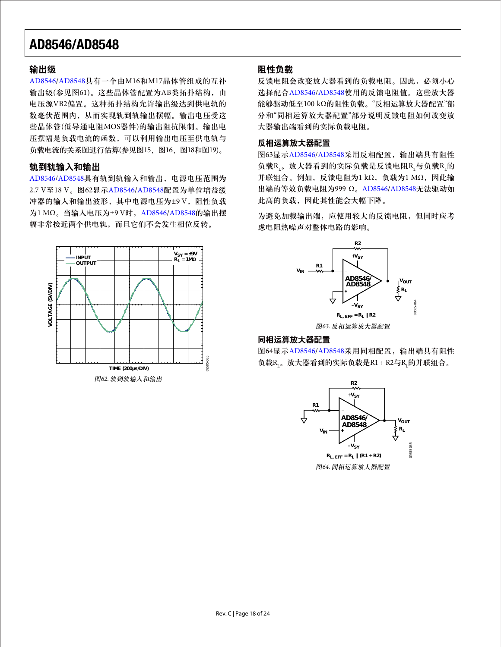#### 输出级

[AD8546/](http://www.analog.com/zh/ad8546)[AD8548](http://www.analog.com/zh/ad8548)具有一个由M16和M17晶体管组成的互补 输出级(参见图61)。这些晶体管配置为AB类拓扑结构, 由 电压源VB2偏置。这种拓扑结构允许输出级达到供电轨的 数毫伏范围内,从而实现轨到轨输出摆幅。输出电压受这 些晶体管(低导通电阻MOS器件)的输出阻抗限制。输出电 压摆幅是负载电流的函数,可以利用输出电压至供电轨与 负载电流的关系图进行估算(参见图15、图16、图18和图19)。

#### 轨到轨输入和输出

[AD8546/](http://www.analog.com/zh/ad8546)[AD8548](http://www.analog.com/zh/ad8548)具有轨到轨输入和输出,电源电压范围为 2.7 V至18 V。图62显示AD8546/AD8548配置为单位增益缓 冲器的输入和输出波形, 其中电源电压为±9 V, 阻性负载 为1 MΩ。当输入电压为±9 V时,[AD8546/](http://www.analog.com/zh/ad8546)[AD8548](http://www.analog.com/zh/ad8548)的输出摆 幅非常接近两个供电轨,而且它们不会发生相位反转。



#### 阻性负载

反馈电阻会改变放大器看到的负载电阻。因此,必须小心 选择配合[AD8546/](http://www.analog.com/zh/ad8546)[AD8548](http://www.analog.com/zh/ad8548)使用的反馈电阻值。这些放大器 能够驱动低至100 kΩ的阻性负载。"反相运算放大器配置"部 分和"同相运算放大器配置"部分说明反馈电阻如何改变放 大器输出端看到的实际负载电阻。

#### 反相运算放大器配置

图63显示[AD8546/](http://www.analog.com/zh/ad8546)[AD8548](http://www.analog.com/zh/ad8548)采用反相配置,输出端具有阻性 负载R<sub>L</sub>。放大器看到的实际负载是反馈电阻R<sub>2</sub>与负载R<sub>L</sub>的 并联组合。例如,反馈电阻为1 kΩ,负载为1 MΩ,因此输 出端的等效负载电阻为999 Ω。[AD8546/](http://www.analog.com/zh/ad8546)[AD8548](http://www.analog.com/zh/ad8548)无法驱动如 此高的负载,因此其性能会大幅下降。

为避免加载输出端,应使用较大的反馈电阻,但同时应考 虑电阻热噪声对整体电路的影响。



图63. 反相运算放大器配置

#### 同相运算放大器配置

图64显示[AD8546/](http://www.analog.com/zh/ad8546)[AD8548](http://www.analog.com/zh/ad8548)采用同相配置,输出端具有阻性 负载R<sub>L</sub>。放大器看到的实际负载是R1 + R2与R<sub>L</sub>的并联组合。

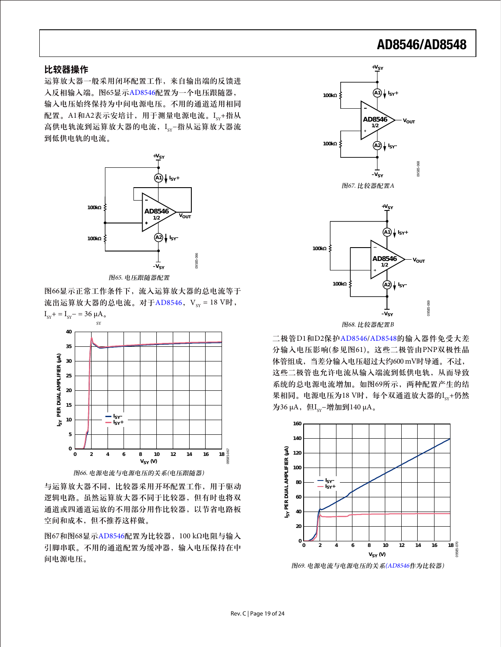#### 比较器操作

运算放大器一般采用闭环配置工作,来自输出端的反馈进 入反相输入端。图65显示[AD8546](http://www.analog.com/zh/ad8546)配置为一个电压跟随器, 输入电压始终保持为中间电源电压。不用的通道适用相同 配置。A1和A2表示安培计, 用于测量电源电流。Icy+指从 高供电轨流到运算放大器的电流, I<sub>sy</sub>−指从运算放大器流 到低供电轨的电流。



图65. 电压跟随器配置

图66显示正常工作条件下,流入运算放大器的总电流等于 流出运算放大器的总电流。对于[AD8546](http://www.analog.com/zh/ad8546), V<sub>SY</sub> = 18 V时,  $I_{sy}$ + =  $I_{sy}$ - = 36 μA.



图66. 电源电流与电源电压的关系(电压跟随器)

与运算放大器不同,比较器采用开环配置工作,用于驱动 逻辑电路。虽然运算放大器不同于比较器,但有时也将双 通道或四通道运放的不用部分用作比较器,以节省电路板 空间和成本,但不推荐这样做。

图67和图68显示[AD8546](http://www.analog.com/zh/ad8546)配置为比较器,100 kΩ电阻与输入 引脚串联。不用的通道配置为缓冲器,输入电压保持在中 间电源电压。





图68. 比较器配置B

二极管D1和D2保护[AD8546/](http://www.analog.com/zh/ad8546)[AD8548](http://www.analog.com/zh/ad8548)的输入器件免受大差 分输入电压影响(参见图61)。这些二极管由PNP双极性晶 体管组成,当差分输入电压超过大约600 mV时导通。不过, 这些二极管也允许电流从输入端流到低供电轨,从而导致 系统的总电源电流增加。如图69所示,两种配置产生的结 果相同。电源电压为18 V时, 每个双通道放大器的Icy+仍然 为36 μA, 但I<sub>sv</sub>−增加到140 μA。



图69. 电源电流与电源电压的关系([AD8546](http://www.analog.com/zh/ad8546)作为比较器)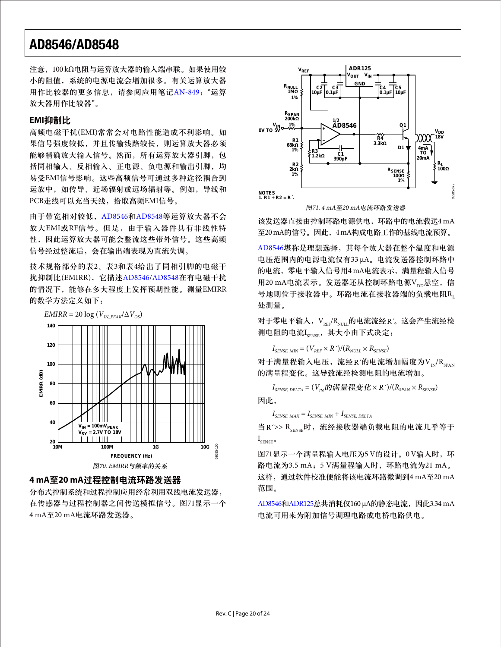注意,100 kΩ电阻与运算放大器的输入端串联。如果使用较 小的阻值,系统的电源电流会增加很多。有关运算放大器 用作比较器的更多信息,请参阅应用笔记[AN-849](http://www.analog.com/an-849): "运算 放大器用作比较器"。

#### **EMI**抑制比

高频电磁干扰(EMI)常常会对电路性能造成不利影响。如 果信号强度较低,并且传输线路较长,则运算放大器必须 能够精确放大输入信号。然而,所有运算放大器引脚,包 括同相输入、反相输入、正电源、负电源和输出引脚,均 易受EMI信号影响。这些高频信号可通过多种途径耦合到 运放中,如传导、近场辐射或远场辐射等。例如,导线和 PCB走线可以充当天线,拾取高频EMI信号。

由于带宽相对较低,[AD8546](http://www.analog.com/zh/ad8546)和[AD8548](http://www.analog.com/zh/ad8548)等运算放大器不会 放大EMI或RF信号。但是,由于输入器件具有非线性特 性,因此运算放大器可能会整流这些带外信号。这些高频 信号经过整流后,会在输出端表现为直流失调。

技术规格部分的表2、表3和表4给出了同相引脚的电磁干 扰抑制比(EMIRR),它描述[AD8546/](http://www.analog.com/zh/ad8546)[AD8548](http://www.analog.com/zh/ad8548)在有电磁干扰 的情况下,能够在多大程度上发挥预期性能。测量EMIRR 的数学方法定义如下:



#### **4 mA**至**20 mA**过程控制电流环路发送器

分布式控制系统和过程控制应用经常利用双线电流发送器, 在传感器与过程控制器之间传送模拟信号。图71显示一个 4 mA至20 mA电流环路发送器。



图71. 4 mA至20 mA电流环路发送器

该发送器直接由控制环路电源供电,环路中的电流载送4mA 至20 mA的信号。因此,4 mA构成电路工作的基线电流预算。

[AD8546](http://www.analog.com/zh/ad8546)堪称是理想选择,其每个放大器在整个温度和电源 电压范围内的电源电流仅有33 μA。电流发送器控制环路中 的电流,零电平输入信号用4 mA电流表示,满量程输入信号 用20 mA电流表示。发送器还从控制环路电源Vpp悬空,信 号地则位于接收器中。环路电流在接收器端的负载电阻R 处测量。

对于零电平输入, V<sub>RFF</sub>/R<sub>NULL</sub>的电流流经 R'。这会产生流经检 测电阻的电流I<sub>SENSE</sub>, 其大小由下式决定:

$$
I_{\textit{SENSE, MIN}} = (V_{\textit{REF}} \times R^{\prime})/(R_{\textit{NULL}} \times R_{\textit{SENSE}})
$$

对于满量程输入电压,流经 R'的电流增加幅度为 $V_{\text{IN}}/R_{\text{CDAN}}$ 的满量程变化。这导致流经检测电阻的电流增加。

 $I_{SENSE, DELTA} = (V_{N} \hat{p})$  满量程变化 × R<sup>2</sup>)/( $R_{SPAN}$  ×  $R_{SENSE}$ )

因此,

 $I_{\text{SENSE MAX}} = I_{\text{SENSE MIN}} + I_{\text{SENSE DELTA}}$ 

当 R'>> RsENSE时, 流经接收器端负载电阻的电流几乎等于  $I_{\text{sensre}}$ 

图71显示一个满量程输入电压为5 V的设计。0 V输入时, 环 路电流为3.5 mA;5 V满量程输入时,环路电流为21 mA。 这样,通过软件校准便能将该电流环路微调到4 mA至20 mA 范围。

[AD8546](http://www.analog.com/zh/ad8546)和[ADR125](http://www.analog.com/zh/adr125)总共消耗仅160 µA的静态电流,因此3.34 mA 电流可用来为附加信号调理电路或电桥电路供电。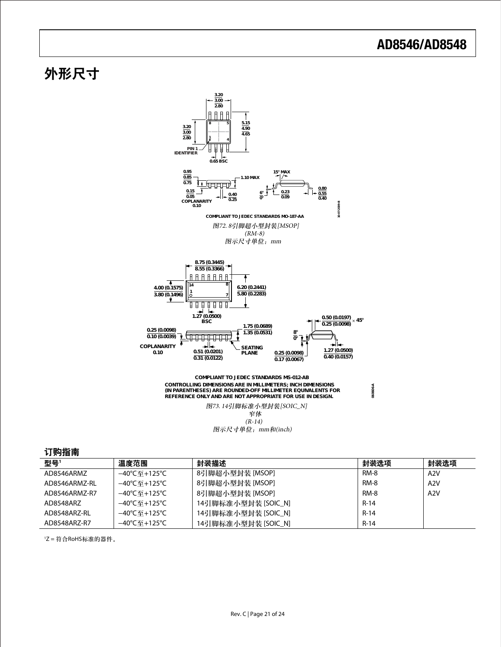## 外形尺寸



图示尺寸单位:mm和(inch)

#### 订购指南

| <b>型</b> 号'   | 温度范围       | 封装描述                | 封装洗项        | 封装选项             |
|---------------|------------|---------------------|-------------|------------------|
| AD8546ARMZ    | –40℃至+125℃ | 8引脚超小型封装 [MSOP]     | <b>RM-8</b> | A <sub>2</sub> V |
| AD8546ARM7-RI | –40℃至+125℃ | 8引脚超小型封装 [MSOP]     | <b>RM-8</b> | A2V              |
| AD8546ARM7-R7 | –40℃至+125℃ | 8引脚超小型封装 [MSOP]     | <b>RM-8</b> | A2V              |
| AD8548AR7     | –40℃至+125℃ | 14引脚标准小型封装 [SOIC_N] | $R-14$      |                  |
| AD8548ARZ-RL  | –40℃至+125℃ | 14引脚标准小型封装 [SOIC_N] | $R-14$      |                  |
| AD8548ARZ-R7  | –40℃至+125℃ | 14引脚标准小型封装 [SOIC_N] | $R-14$      |                  |

1 Z = 符合RoHS标准的器件。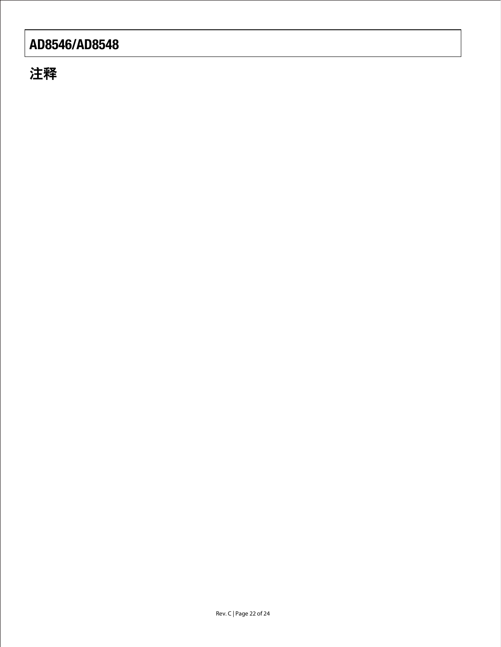注释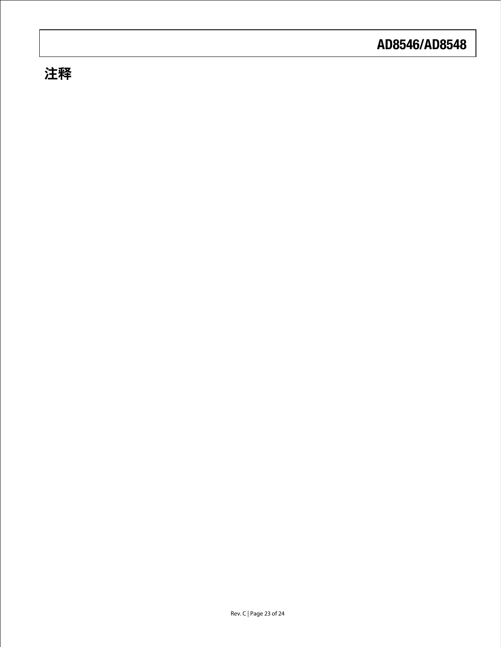# 注释